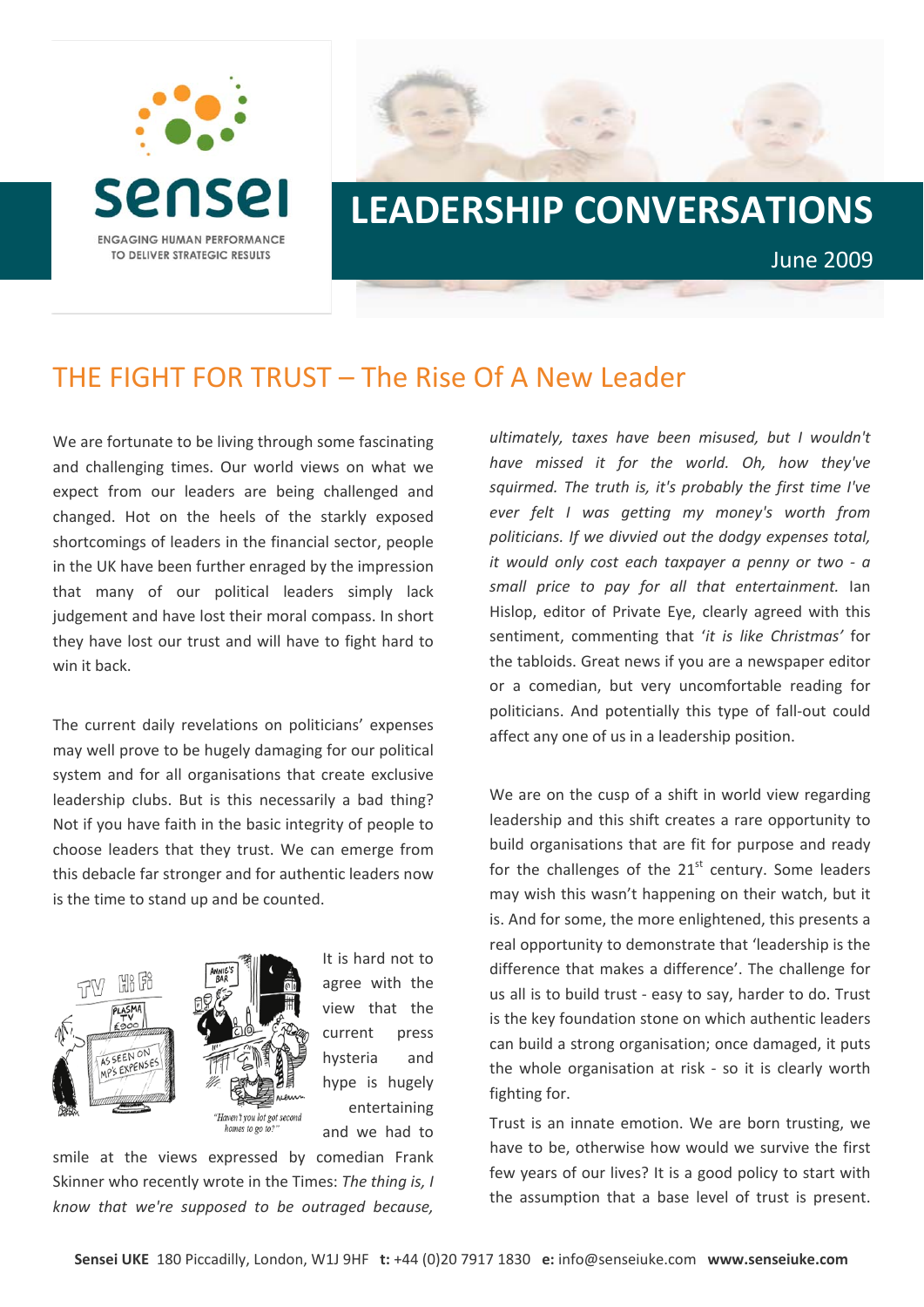



## THE FIGHT FOR TRUST – The Rise Of A New Leader

We are fortunate to be living through some fascinating and challenging times. Our world views on what we expect from our leaders are being challenged and changed. Hot on the heels of the starkly exposed shortcomings of leaders in the financial sector, people in the UK have been further enraged by the impression that many of our political leaders simply lack judgement and have lost their moral compass. In short they have lost our trust and will have to fight hard to win it back.

The current daily revelations on politicians' expenses may well prove to be hugely damaging for our political system and for all organisations that create exclusive leadership clubs. But is this necessarily a bad thing? Not if you have faith in the basic integrity of people to choose leaders that they trust. We can emerge from this debacle far stronger and for authentic leaders now is the time to stand up and be counted.



It is hard not to agree with the view that the current press hysteria and hype is hugely entertaining and we had to

smile at the views expressed by comedian Frank Skinner who recently wrote in the Times: *The thing is, I know that we're supposed to be outraged because,*

*ultimately, taxes have been misused, but I wouldn't have missed it for the world. Oh, how they've squirmed. The truth is, it's probably the first time I've ever felt I was getting my money's worth from politicians. If we divvied out the dodgy expenses total, it would only cost each taxpayer a penny or two ‐ a small price to pay for all that entertainment.* Ian Hislop, editor of Private Eye, clearly agreed with this sentiment, commenting that '*it is like Christmas'* for the tabloids. Great news if you are a newspaper editor or a comedian, but very uncomfortable reading for politicians. And potentially this type of fall‐out could affect any one of us in a leadership position.

We are on the cusp of a shift in world view regarding leadership and this shift creates a rare opportunity to build organisations that are fit for purpose and ready for the challenges of the  $21<sup>st</sup>$  century. Some leaders may wish this wasn't happening on their watch, but it is. And for some, the more enlightened, this presents a real opportunity to demonstrate that 'leadership is the difference that makes a difference'. The challenge for us all is to build trust ‐ easy to say, harder to do. Trust is the key foundation stone on which authentic leaders can build a strong organisation; once damaged, it puts the whole organisation at risk - so it is clearly worth fighting for.

Trust is an innate emotion. We are born trusting, we have to be, otherwise how would we survive the first few years of our lives? It is a good policy to start with the assumption that a base level of trust is present.